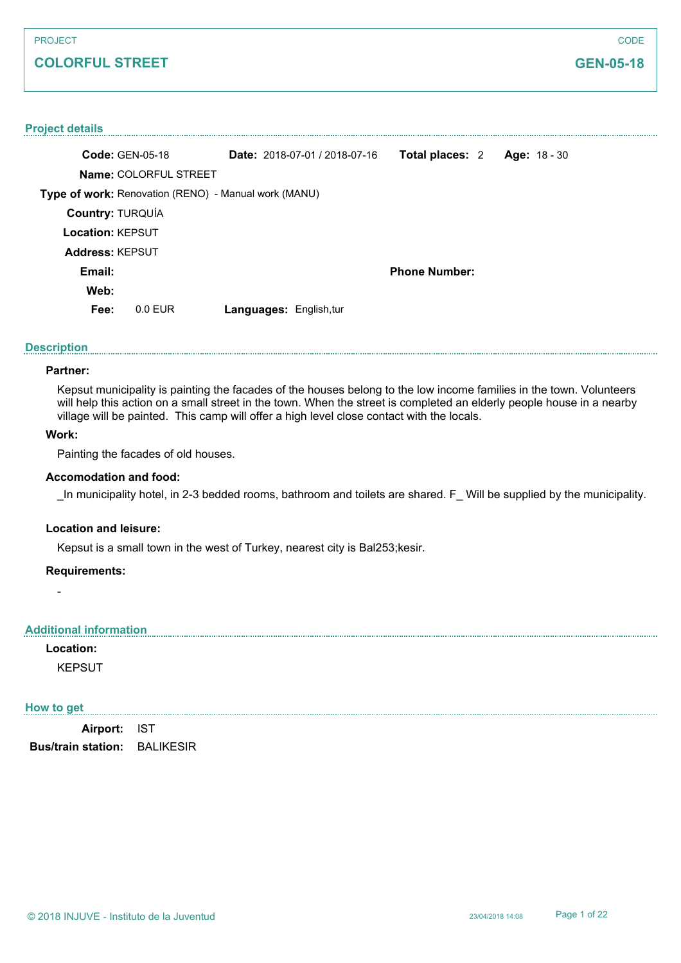# **COLORFUL STREET**

**CODE** 

#### **Project details**

|                         | <b>Code: GEN-05-18</b>                               | Date: 2018-07-01 / 2018-07-16  | Total places: 2      | Age: $18 - 30$ |  |
|-------------------------|------------------------------------------------------|--------------------------------|----------------------|----------------|--|
|                         | Name: COLORFUL STREET                                |                                |                      |                |  |
|                         | Type of work: Renovation (RENO) - Manual work (MANU) |                                |                      |                |  |
| <b>Country: TURQUÍA</b> |                                                      |                                |                      |                |  |
| <b>Location: KEPSUT</b> |                                                      |                                |                      |                |  |
| <b>Address: KEPSUT</b>  |                                                      |                                |                      |                |  |
| Email:                  |                                                      |                                | <b>Phone Number:</b> |                |  |
| Web:                    |                                                      |                                |                      |                |  |
| Fee:                    | $0.0$ EUR                                            | <b>Languages: English, tur</b> |                      |                |  |

#### **Description**

# **Partner:**

Kepsut municipality is painting the facades of the houses belong to the low income families in the town. Volunteers will help this action on a small street in the town. When the street is completed an elderly people house in a nearby village will be painted. This camp will offer a high level close contact with the locals.

## **Work:**

Painting the facades of old houses.

#### **Accomodation and food:**

In municipality hotel, in 2-3 bedded rooms, bathroom and toilets are shared. F Will be supplied by the municipality.

#### **Location and leisure:**

Kepsut is a small town in the west of Turkey, nearest city is Bal253;kesir.

#### **Requirements:**

#### **Additional information**

**Location:**

-

KEPSUT

#### **How to get**

**Airport:** IST **Bus/train station:** BALIKESIR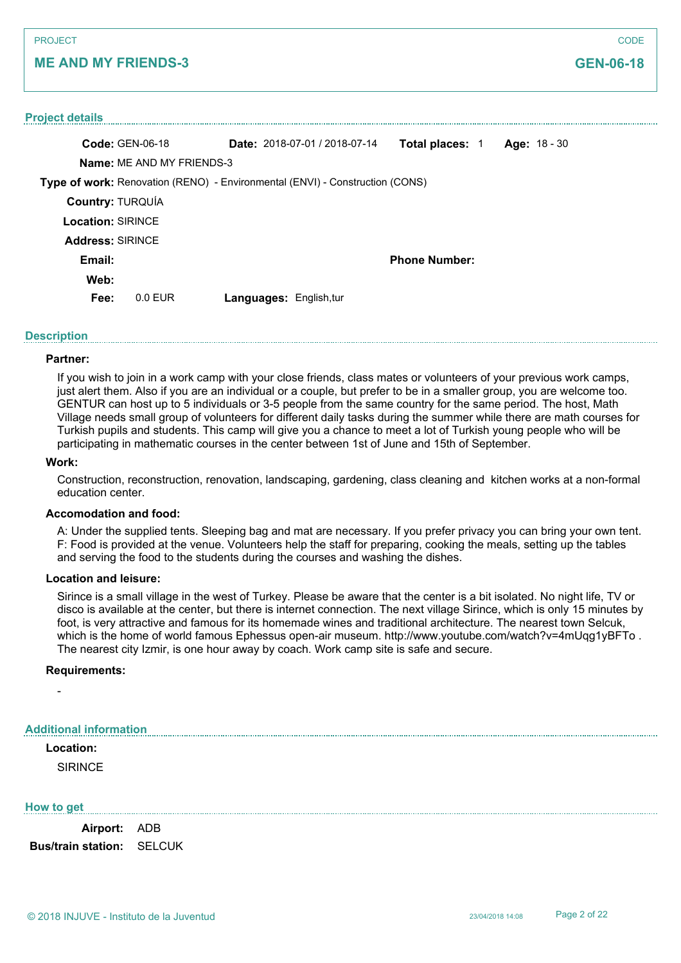# **ME AND MY FRIENDS-3**

| <b>Project details</b>   |                                  |                                                                              |                        |              |  |
|--------------------------|----------------------------------|------------------------------------------------------------------------------|------------------------|--------------|--|
| <b>Code: GEN-06-18</b>   |                                  | <b>Date:</b> 2018-07-01 / 2018-07-14                                         | <b>Total places: 1</b> | Age: 18 - 30 |  |
|                          | <b>Name: ME AND MY FRIENDS-3</b> |                                                                              |                        |              |  |
|                          |                                  | Type of work: Renovation (RENO) - Environmental (ENVI) - Construction (CONS) |                        |              |  |
| <b>Country: TURQUÍA</b>  |                                  |                                                                              |                        |              |  |
| <b>Location: SIRINCE</b> |                                  |                                                                              |                        |              |  |
| <b>Address: SIRINCE</b>  |                                  |                                                                              |                        |              |  |
| Email:                   |                                  |                                                                              | <b>Phone Number:</b>   |              |  |
| Web:                     |                                  |                                                                              |                        |              |  |
| Fee:                     | $0.0$ EUR                        | <b>Languages: English, tur</b>                                               |                        |              |  |

#### **Description**

#### **Partner:**

If you wish to join in a work camp with your close friends, class mates or volunteers of your previous work camps, just alert them. Also if you are an individual or a couple, but prefer to be in a smaller group, you are welcome too. GENTUR can host up to 5 individuals or 3-5 people from the same country for the same period. The host, Math Village needs small group of volunteers for different daily tasks during the summer while there are math courses for Turkish pupils and students. This camp will give you a chance to meet a lot of Turkish young people who will be participating in mathematic courses in the center between 1st of June and 15th of September.

#### **Work:**

Construction, reconstruction, renovation, landscaping, gardening, class cleaning and kitchen works at a non-formal education center.

## **Accomodation and food:**

A: Under the supplied tents. Sleeping bag and mat are necessary. If you prefer privacy you can bring your own tent. F: Food is provided at the venue. Volunteers help the staff for preparing, cooking the meals, setting up the tables and serving the food to the students during the courses and washing the dishes.

#### **Location and leisure:**

Sirince is a small village in the west of Turkey. Please be aware that the center is a bit isolated. No night life, TV or disco is available at the center, but there is internet connection. The next village Sirince, which is only 15 minutes by foot, is very attractive and famous for its homemade wines and traditional architecture. The nearest town Selcuk, which is the home of world famous Ephessus open-air museum. http://www.youtube.com/watch?v=4mUqq1yBFTo. The nearest city Izmir, is one hour away by coach. Work camp site is safe and secure.

#### **Requirements:**

#### **Additional information**

# **Location:**

-

**SIRINCE** 

#### **How to get**

**Airport:** ADB **Bus/train station:** SELCUK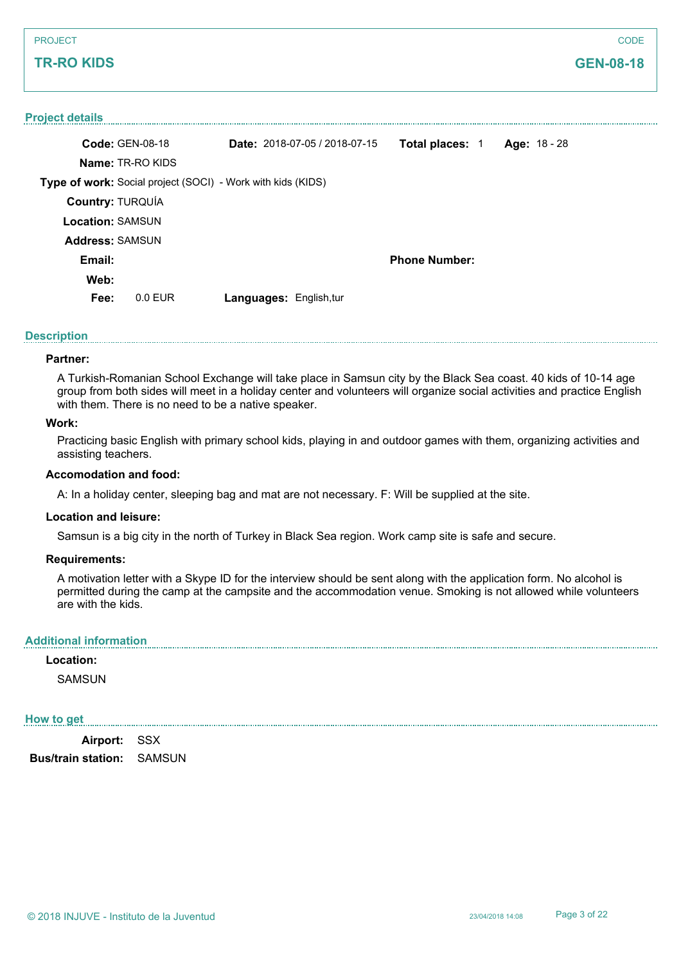# **TR-RO KIDS**

#### **Project details**

|                         | <b>Code: GEN-08-18</b>                                      | <b>Date:</b> $2018-07-05/2018-07-15$ | <b>Total places: 1</b> |  | Age: $18 - 28$ |
|-------------------------|-------------------------------------------------------------|--------------------------------------|------------------------|--|----------------|
|                         | <b>Name: TR-RO KIDS</b>                                     |                                      |                        |  |                |
|                         | Type of work: Social project (SOCI) - Work with kids (KIDS) |                                      |                        |  |                |
| <b>Country: TURQUÍA</b> |                                                             |                                      |                        |  |                |
| <b>Location: SAMSUN</b> |                                                             |                                      |                        |  |                |
| <b>Address: SAMSUN</b>  |                                                             |                                      |                        |  |                |
| Email:                  |                                                             |                                      | <b>Phone Number:</b>   |  |                |
| Web:                    |                                                             |                                      |                        |  |                |
| Fee:                    | 0.0 FUR                                                     | <b>Languages: English, tur</b>       |                        |  |                |

#### **Description**

#### **Partner:**

A Turkish-Romanian School Exchange will take place in Samsun city by the Black Sea coast. 40 kids of 10-14 age group from both sides will meet in a holiday center and volunteers will organize social activities and practice English with them. There is no need to be a native speaker.

#### **Work:**

Practicing basic English with primary school kids, playing in and outdoor games with them, organizing activities and assisting teachers.

#### **Accomodation and food:**

A: In a holiday center, sleeping bag and mat are not necessary. F: Will be supplied at the site.

#### **Location and leisure:**

Samsun is a big city in the north of Turkey in Black Sea region. Work camp site is safe and secure.

#### **Requirements:**

A motivation letter with a Skype ID for the interview should be sent along with the application form. No alcohol is permitted during the camp at the campsite and the accommodation venue. Smoking is not allowed while volunteers are with the kids.

#### **Additional information**

#### **Location:**

**SAMSUN** 

#### **How to get**

**Airport:** SSX **Bus/train station:** SAMSUN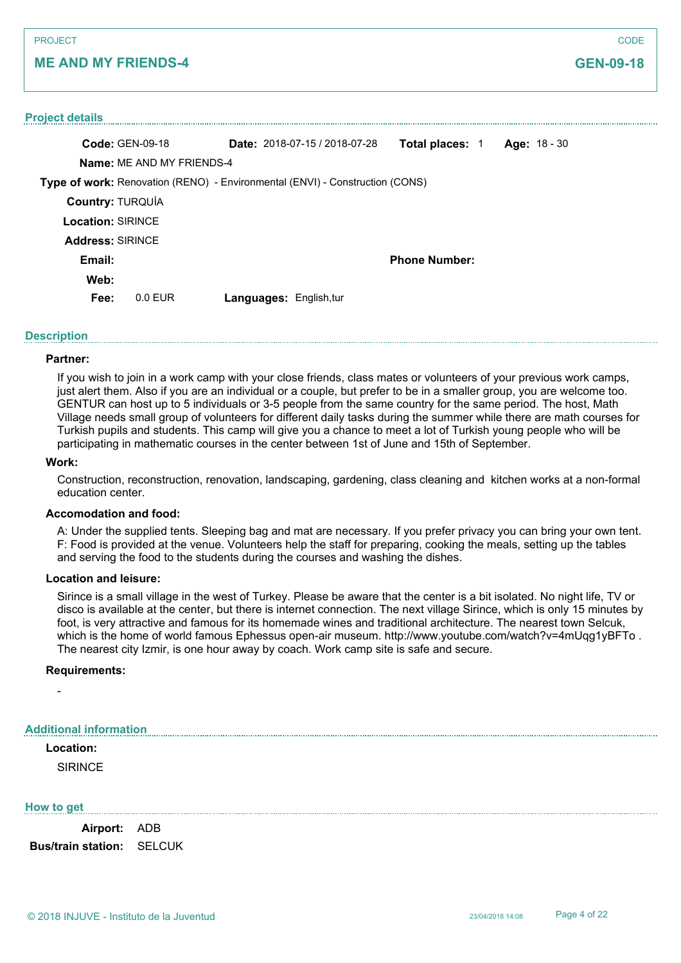# **ME AND MY FRIENDS-4**

# **Project details Code:** GEN-09-18 **Name:** ME AND MY FRIENDS-4 **Type of work:** Renovation (RENO) - Environmental (ENVI) - Construction (CONS) **Date:** 2018-07-15 / 2018-07-28 **Total places:** 1 **Age:** 18 - 30 **Country:** TURQUÍA **Location:** SIRINCE **Email: Web: Phone Number: Fee:** 0.0 EUR **Languages:** English,tur **Address:** SIRINCE

# **Description**

#### **Partner:**

If you wish to join in a work camp with your close friends, class mates or volunteers of your previous work camps, just alert them. Also if you are an individual or a couple, but prefer to be in a smaller group, you are welcome too. GENTUR can host up to 5 individuals or 3-5 people from the same country for the same period. The host, Math Village needs small group of volunteers for different daily tasks during the summer while there are math courses for Turkish pupils and students. This camp will give you a chance to meet a lot of Turkish young people who will be participating in mathematic courses in the center between 1st of June and 15th of September.

#### **Work:**

Construction, reconstruction, renovation, landscaping, gardening, class cleaning and kitchen works at a non-formal education center.

## **Accomodation and food:**

A: Under the supplied tents. Sleeping bag and mat are necessary. If you prefer privacy you can bring your own tent. F: Food is provided at the venue. Volunteers help the staff for preparing, cooking the meals, setting up the tables and serving the food to the students during the courses and washing the dishes.

#### **Location and leisure:**

Sirince is a small village in the west of Turkey. Please be aware that the center is a bit isolated. No night life, TV or disco is available at the center, but there is internet connection. The next village Sirince, which is only 15 minutes by foot, is very attractive and famous for its homemade wines and traditional architecture. The nearest town Selcuk, which is the home of world famous Ephessus open-air museum. http://www.youtube.com/watch?v=4mUqq1yBFTo. The nearest city Izmir, is one hour away by coach. Work camp site is safe and secure.

#### **Requirements:**

#### **Additional information**

## **Location:**

-

**SIRINCE** 

#### **How to get**

**Airport:** ADB **Bus/train station:** SELCUK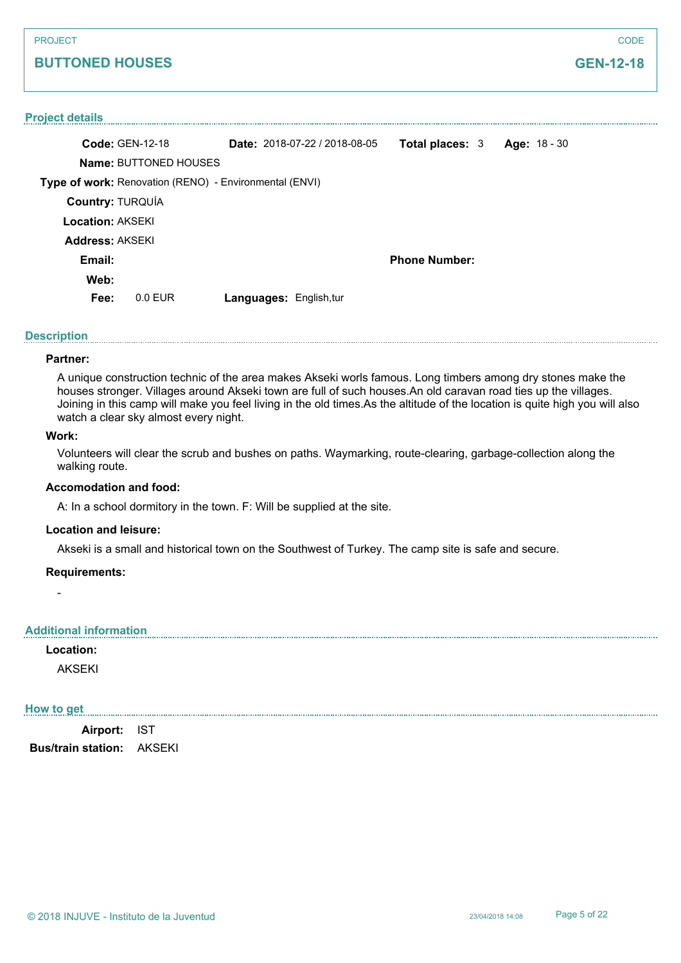# **BUTTONED HOUSES**

#### **Project details**

|                         | <b>Code: GEN-12-18</b>                                 | Date: 2018-07-22 / 2018-08-05  | <b>Total places: 3</b> |  | Age: $18 - 30$ |
|-------------------------|--------------------------------------------------------|--------------------------------|------------------------|--|----------------|
|                         | <b>Name: BUTTONED HOUSES</b>                           |                                |                        |  |                |
|                         | Type of work: Renovation (RENO) - Environmental (ENVI) |                                |                        |  |                |
| Country: TURQUÍA        |                                                        |                                |                        |  |                |
| <b>Location: AKSEKI</b> |                                                        |                                |                        |  |                |
| <b>Address: AKSEKI</b>  |                                                        |                                |                        |  |                |
| Email:                  |                                                        |                                | <b>Phone Number:</b>   |  |                |
| Web:                    |                                                        |                                |                        |  |                |
| Fee:                    | $0.0$ FUR                                              | <b>Languages: English, tur</b> |                        |  |                |
|                         |                                                        |                                |                        |  |                |

#### **Description**

#### **Partner:**

A unique construction technic of the area makes Akseki worls famous. Long timbers among dry stones make the houses stronger. Villages around Akseki town are full of such houses.An old caravan road ties up the villages. Joining in this camp will make you feel living in the old times.As the altitude of the location is quite high you will also watch a clear sky almost every night.

#### **Work:**

Volunteers will clear the scrub and bushes on paths. Waymarking, route-clearing, garbage-collection along the walking route.

#### **Accomodation and food:**

A: In a school dormitory in the town. F: Will be supplied at the site.

#### **Location and leisure:**

Akseki is a small and historical town on the Southwest of Turkey. The camp site is safe and secure.

#### **Requirements:**

#### **Additional information**

**Location:**

-

AKSEKI

#### **How to get**

**Airport:** IST **Bus/train station:** AKSEKI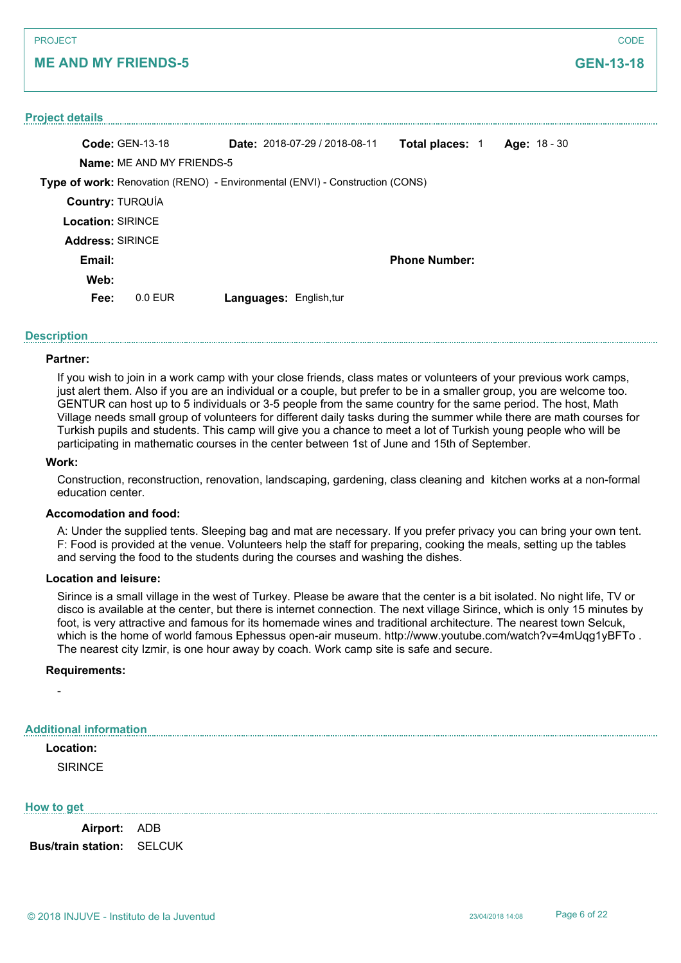# **ME AND MY FRIENDS-5**

# **Project details Code:** GEN-13-18 **Name:** ME AND MY FRIENDS-5 **Type of work:** Renovation (RENO) - Environmental (ENVI) - Construction (CONS) **Date:** 2018-07-29 / 2018-08-11 **Total places:** 1 **Age:** 18 - 30 **Country:** TURQUÍA **Location:** SIRINCE **Email: Web: Phone Number: Fee:** 0.0 EUR **Languages:** English,tur **Address:** SIRINCE

# **Description**

#### **Partner:**

If you wish to join in a work camp with your close friends, class mates or volunteers of your previous work camps, just alert them. Also if you are an individual or a couple, but prefer to be in a smaller group, you are welcome too. GENTUR can host up to 5 individuals or 3-5 people from the same country for the same period. The host, Math Village needs small group of volunteers for different daily tasks during the summer while there are math courses for Turkish pupils and students. This camp will give you a chance to meet a lot of Turkish young people who will be participating in mathematic courses in the center between 1st of June and 15th of September.

#### **Work:**

Construction, reconstruction, renovation, landscaping, gardening, class cleaning and kitchen works at a non-formal education center.

## **Accomodation and food:**

A: Under the supplied tents. Sleeping bag and mat are necessary. If you prefer privacy you can bring your own tent. F: Food is provided at the venue. Volunteers help the staff for preparing, cooking the meals, setting up the tables and serving the food to the students during the courses and washing the dishes.

#### **Location and leisure:**

Sirince is a small village in the west of Turkey. Please be aware that the center is a bit isolated. No night life, TV or disco is available at the center, but there is internet connection. The next village Sirince, which is only 15 minutes by foot, is very attractive and famous for its homemade wines and traditional architecture. The nearest town Selcuk, which is the home of world famous Ephessus open-air museum. http://www.youtube.com/watch?v=4mUqq1yBFTo. The nearest city Izmir, is one hour away by coach. Work camp site is safe and secure.

#### **Requirements:**

#### **Additional information**

## **Location:**

-

**SIRINCE** 

#### **How to get**

**Airport:** ADB **Bus/train station:** SELCUK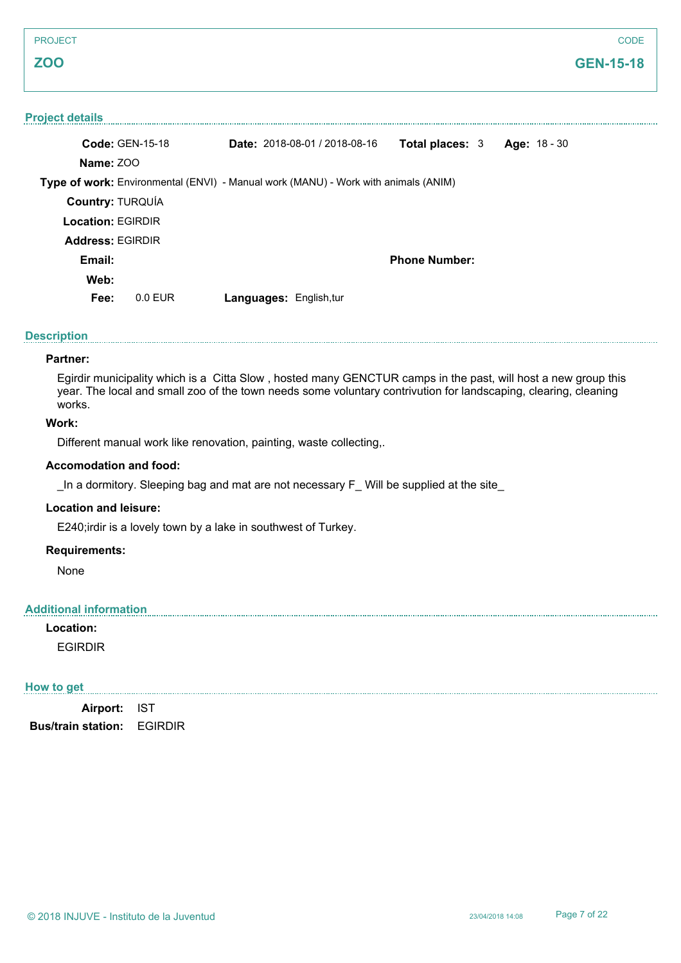# **GEN-15-18**

#### **Project details**

| <b>Code: GEN-15-18</b>   |                                                                                    |  | <b>Date: 2018-08-01 / 2018-08-16</b> | <b>Total places: 3</b> |  | Age: 18 - 30 |  |
|--------------------------|------------------------------------------------------------------------------------|--|--------------------------------------|------------------------|--|--------------|--|
| Name: ZOO                |                                                                                    |  |                                      |                        |  |              |  |
|                          | Type of work: Environmental (ENVI) - Manual work (MANU) - Work with animals (ANIM) |  |                                      |                        |  |              |  |
| Country: TURQUÍA         |                                                                                    |  |                                      |                        |  |              |  |
| <b>Location: EGIRDIR</b> |                                                                                    |  |                                      |                        |  |              |  |
| <b>Address: EGIRDIR</b>  |                                                                                    |  |                                      |                        |  |              |  |
| Email:                   |                                                                                    |  |                                      | <b>Phone Number:</b>   |  |              |  |
| Web:                     |                                                                                    |  |                                      |                        |  |              |  |
| Fee:                     | $0.0$ EUR                                                                          |  | <b>Languages: English, tur</b>       |                        |  |              |  |
|                          |                                                                                    |  |                                      |                        |  |              |  |

#### **Description**

#### **Partner:**

Egirdir municipality which is a Citta Slow , hosted many GENCTUR camps in the past, will host a new group this year. The local and small zoo of the town needs some voluntary contrivution for landscaping, clearing, cleaning works.

# **Work:**

Different manual work like renovation, painting, waste collecting,.

#### **Accomodation and food:**

In a dormitory. Sleeping bag and mat are not necessary  $F$  Will be supplied at the site

# **Location and leisure:**

E240;irdir is a lovely town by a lake in southwest of Turkey.

# **Requirements:**

None

#### **Additional information**

#### **Location:**

EGIRDIR

# **How to get**

**Airport:** IST **Bus/train station:** EGIRDIR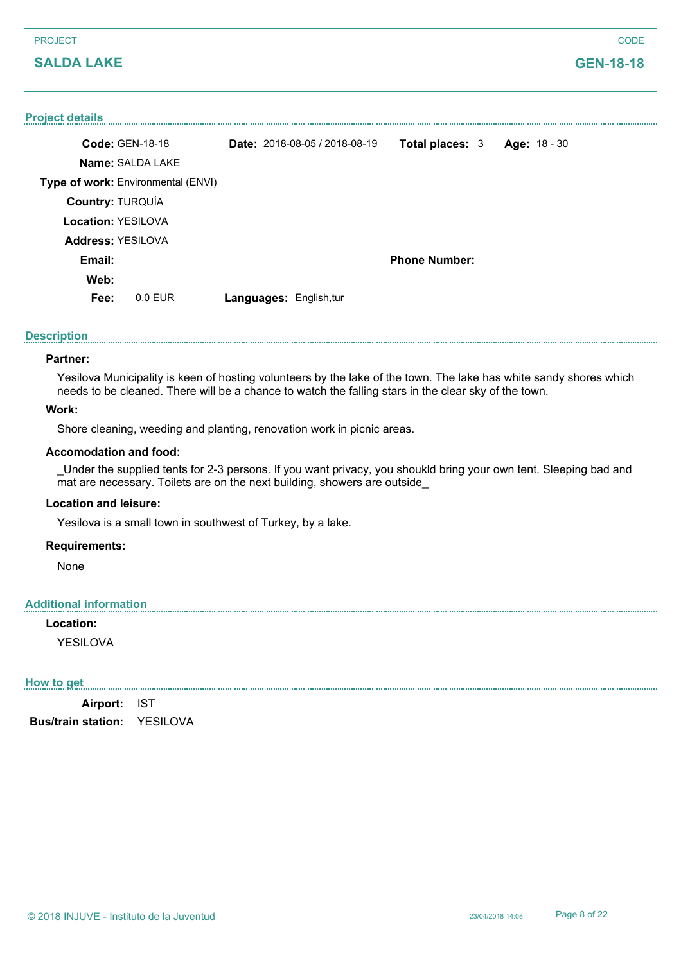| <b>PROJECT</b>                     |                                      |                        |                     | CODE |
|------------------------------------|--------------------------------------|------------------------|---------------------|------|
| <b>SALDA LAKE</b>                  |                                      |                        | <b>GEN-18-18</b>    |      |
|                                    |                                      |                        |                     |      |
| <b>Project details</b>             |                                      |                        |                     |      |
| <b>Code: GEN-18-18</b>             | <b>Date: 2018-08-05 / 2018-08-19</b> | <b>Total places: 3</b> | <b>Age: 18 - 30</b> |      |
| <b>Name: SALDA LAKE</b>            |                                      |                        |                     |      |
| Type of work: Environmental (ENVI) |                                      |                        |                     |      |

**Description**

#### **Partner:**

Yesilova Municipality is keen of hosting volunteers by the lake of the town. The lake has white sandy shores which needs to be cleaned. There will be a chance to watch the falling stars in the clear sky of the town.

**Phone Number:**

# **Work:**

Shore cleaning, weeding and planting, renovation work in picnic areas.

**Fee:** 0.0 EUR **Languages:** English,tur

#### **Accomodation and food:**

**Country:** TURQUÍA **Location:** YESILOVA

**Address:** YESILOVA

**Email: Web:**

\_Under the supplied tents for 2-3 persons. If you want privacy, you shoukld bring your own tent. Sleeping bad and mat are necessary. Toilets are on the next building, showers are outside

#### **Location and leisure:**

Yesilova is a small town in southwest of Turkey, by a lake.

#### **Requirements:**

None

#### **Additional information**

**Location:** YESILOVA

#### **How to get**

**Airport:** IST **Bus/train station:** YESILOVA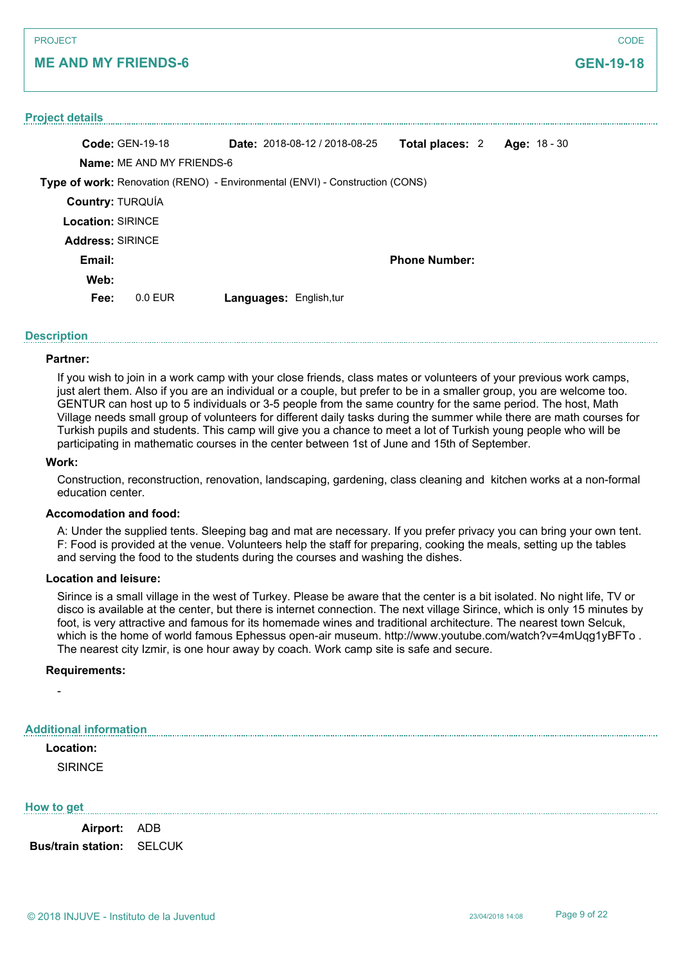# **ME AND MY FRIENDS-6**

# **Project details Code:** GEN-19-18 **Name:** ME AND MY FRIENDS-6 **Type of work:** Renovation (RENO) - Environmental (ENVI) - Construction (CONS) **Date:** 2018-08-12 / 2018-08-25 **Total places:** 2 **Age:** 18 - 30 **Country:** TURQUÍA **Location:** SIRINCE **Email: Web: Phone Number: Fee:** 0.0 EUR **Languages:** English,tur **Address:** SIRINCE

# **Description**

#### **Partner:**

If you wish to join in a work camp with your close friends, class mates or volunteers of your previous work camps, just alert them. Also if you are an individual or a couple, but prefer to be in a smaller group, you are welcome too. GENTUR can host up to 5 individuals or 3-5 people from the same country for the same period. The host, Math Village needs small group of volunteers for different daily tasks during the summer while there are math courses for Turkish pupils and students. This camp will give you a chance to meet a lot of Turkish young people who will be participating in mathematic courses in the center between 1st of June and 15th of September.

#### **Work:**

Construction, reconstruction, renovation, landscaping, gardening, class cleaning and kitchen works at a non-formal education center.

## **Accomodation and food:**

A: Under the supplied tents. Sleeping bag and mat are necessary. If you prefer privacy you can bring your own tent. F: Food is provided at the venue. Volunteers help the staff for preparing, cooking the meals, setting up the tables and serving the food to the students during the courses and washing the dishes.

#### **Location and leisure:**

Sirince is a small village in the west of Turkey. Please be aware that the center is a bit isolated. No night life, TV or disco is available at the center, but there is internet connection. The next village Sirince, which is only 15 minutes by foot, is very attractive and famous for its homemade wines and traditional architecture. The nearest town Selcuk, which is the home of world famous Ephessus open-air museum. http://www.youtube.com/watch?v=4mUqq1yBFTo. The nearest city Izmir, is one hour away by coach. Work camp site is safe and secure.

#### **Requirements:**

#### **Additional information**

# **Location:**

-

**SIRINCE** 

#### **How to get**

**Airport:** ADB **Bus/train station:** SELCUK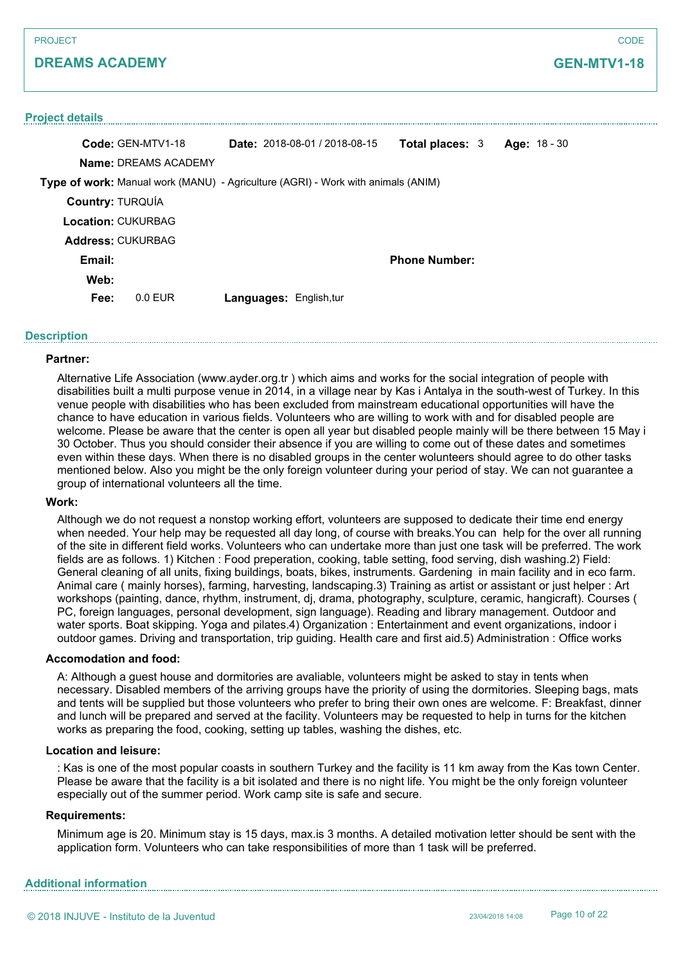#### **Project details**

|                           | Code: GEN-MTV1-18           |                                | <b>Date:</b> $2018-08-01/2018-08-15$                                             | <b>Total places: 3</b> | Age: $18 - 30$ |
|---------------------------|-----------------------------|--------------------------------|----------------------------------------------------------------------------------|------------------------|----------------|
|                           | <b>Name: DREAMS ACADEMY</b> |                                |                                                                                  |                        |                |
|                           |                             |                                | Type of work: Manual work (MANU) - Agriculture (AGRI) - Work with animals (ANIM) |                        |                |
| <b>Country: TURQUÍA</b>   |                             |                                |                                                                                  |                        |                |
| <b>Location: CUKURBAG</b> |                             |                                |                                                                                  |                        |                |
| <b>Address: CUKURBAG</b>  |                             |                                |                                                                                  |                        |                |
| Email:                    |                             |                                |                                                                                  | <b>Phone Number:</b>   |                |
| Web:                      |                             |                                |                                                                                  |                        |                |
| Fee:                      | $0.0$ FUR                   | <b>Languages: English, tur</b> |                                                                                  |                        |                |

#### **Description**

#### **Partner:**

Alternative Life Association (www.ayder.org.tr ) which aims and works for the social integration of people with disabilities built a multi purpose venue in 2014, in a village near by Kas i Antalya in the south-west of Turkey. In this venue people with disabilities who has been excluded from mainstream educational opportunities will have the chance to have education in various fields. Volunteers who are willing to work with and for disabled people are welcome. Please be aware that the center is open all year but disabled people mainly will be there between 15 May i 30 October. Thus you should consider their absence if you are willing to come out of these dates and sometimes even within these days. When there is no disabled groups in the center wolunteers should agree to do other tasks mentioned below. Also you might be the only foreign volunteer during your period of stay. We can not guarantee a group of international volunteers all the time.

#### **Work:**

Although we do not request a nonstop working effort, volunteers are supposed to dedicate their time end energy when needed. Your help may be requested all day long, of course with breaks.You can help for the over all running of the site in different field works. Volunteers who can undertake more than just one task will be preferred. The work fields are as follows. 1) Kitchen : Food preperation, cooking, table setting, food serving, dish washing.2) Field: General cleaning of all units, fixing buildings, boats, bikes, instruments. Gardening in main facility and in eco farm. Animal care ( mainly horses), farming, harvesting, landscaping.3) Training as artist or assistant or just helper : Art workshops (painting, dance, rhythm, instrument, dj, drama, photography, sculpture, ceramic, hangicraft). Courses ( PC, foreign languages, personal development, sign language). Reading and library management. Outdoor and water sports. Boat skipping. Yoga and pilates.4) Organization : Entertainment and event organizations, indoor i outdoor games. Driving and transportation, trip guiding. Health care and first aid.5) Administration : Office works

#### **Accomodation and food:**

A: Although a guest house and dormitories are avaliable, volunteers might be asked to stay in tents when necessary. Disabled members of the arriving groups have the priority of using the dormitories. Sleeping bags, mats and tents will be supplied but those volunteers who prefer to bring their own ones are welcome. F: Breakfast, dinner and lunch will be prepared and served at the facility. Volunteers may be requested to help in turns for the kitchen works as preparing the food, cooking, setting up tables, washing the dishes, etc.

#### **Location and leisure:**

: Kas is one of the most popular coasts in southern Turkey and the facility is 11 km away from the Kas town Center. Please be aware that the facility is a bit isolated and there is no night life. You might be the only foreign volunteer especially out of the summer period. Work camp site is safe and secure.

#### **Requirements:**

Minimum age is 20. Minimum stay is 15 days, max.is 3 months. A detailed motivation letter should be sent with the application form. Volunteers who can take responsibilities of more than 1 task will be preferred.

## **Additional information**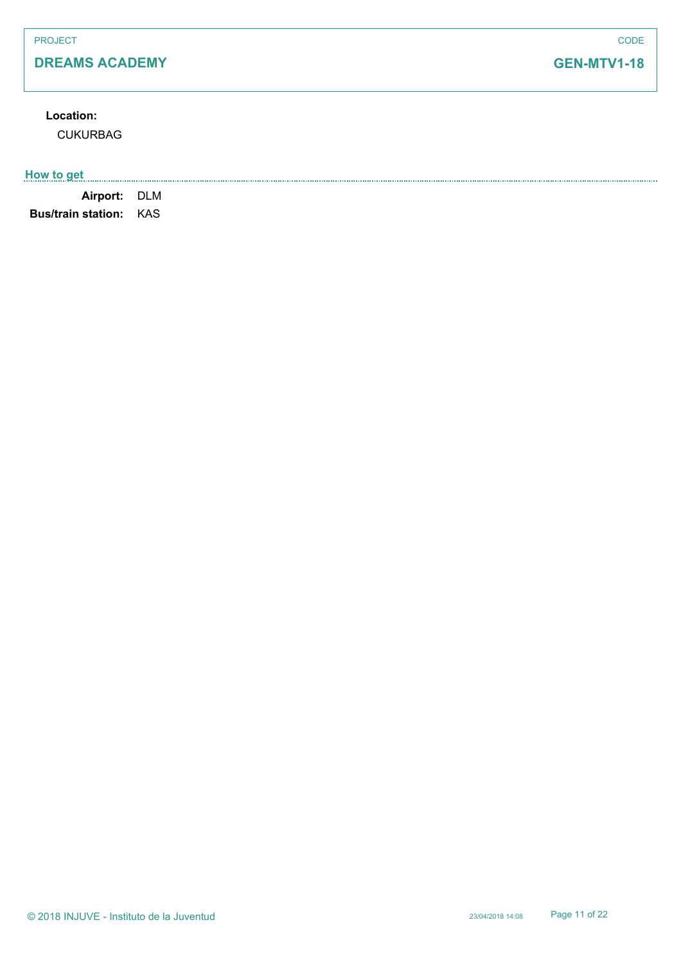# **Location:**

CUKURBAG

# **How to get**

**Airport:** DLM **Bus/train station:** KAS

# **GEN-MTV1-18**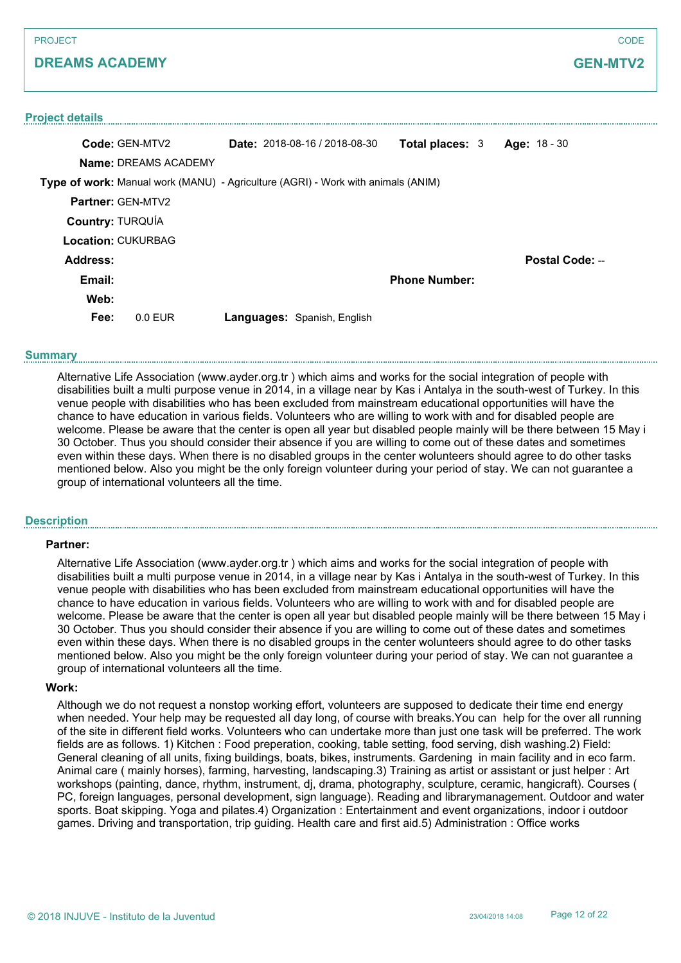# **GEN-MTV2**

#### **Project details**

| Code: GEN-MTV2            |                             | <b>Date:</b> $2018-08-16/2018-08-30$                                             | <b>Total places: 3</b> | Age: 18 - 30    |
|---------------------------|-----------------------------|----------------------------------------------------------------------------------|------------------------|-----------------|
|                           | <b>Name: DREAMS ACADEMY</b> |                                                                                  |                        |                 |
|                           |                             | Type of work: Manual work (MANU) - Agriculture (AGRI) - Work with animals (ANIM) |                        |                 |
| <b>Partner: GEN-MTV2</b>  |                             |                                                                                  |                        |                 |
| <b>Country: TURQUÍA</b>   |                             |                                                                                  |                        |                 |
| <b>Location: CUKURBAG</b> |                             |                                                                                  |                        |                 |
| Address:                  |                             |                                                                                  |                        | Postal Code: -- |
| Email:                    |                             |                                                                                  | <b>Phone Number:</b>   |                 |
| Web:                      |                             |                                                                                  |                        |                 |
| Fee:                      | $0.0$ FUR                   | Languages: Spanish, English                                                      |                        |                 |

#### **Summary**

Alternative Life Association (www.ayder.org.tr ) which aims and works for the social integration of people with disabilities built a multi purpose venue in 2014, in a village near by Kas i Antalya in the south-west of Turkey. In this venue people with disabilities who has been excluded from mainstream educational opportunities will have the chance to have education in various fields. Volunteers who are willing to work with and for disabled people are welcome. Please be aware that the center is open all year but disabled people mainly will be there between 15 May i 30 October. Thus you should consider their absence if you are willing to come out of these dates and sometimes even within these days. When there is no disabled groups in the center wolunteers should agree to do other tasks mentioned below. Also you might be the only foreign volunteer during your period of stay. We can not guarantee a group of international volunteers all the time.

#### **Description**

#### **Partner:**

Alternative Life Association (www.ayder.org.tr ) which aims and works for the social integration of people with disabilities built a multi purpose venue in 2014, in a village near by Kas i Antalya in the south-west of Turkey. In this venue people with disabilities who has been excluded from mainstream educational opportunities will have the chance to have education in various fields. Volunteers who are willing to work with and for disabled people are welcome. Please be aware that the center is open all year but disabled people mainly will be there between 15 May i 30 October. Thus you should consider their absence if you are willing to come out of these dates and sometimes even within these days. When there is no disabled groups in the center wolunteers should agree to do other tasks mentioned below. Also you might be the only foreign volunteer during your period of stay. We can not guarantee a group of international volunteers all the time.

#### **Work:**

Although we do not request a nonstop working effort, volunteers are supposed to dedicate their time end energy when needed. Your help may be requested all day long, of course with breaks.You can help for the over all running of the site in different field works. Volunteers who can undertake more than just one task will be preferred. The work fields are as follows. 1) Kitchen : Food preperation, cooking, table setting, food serving, dish washing.2) Field: General cleaning of all units, fixing buildings, boats, bikes, instruments. Gardening in main facility and in eco farm. Animal care ( mainly horses), farming, harvesting, landscaping.3) Training as artist or assistant or just helper : Art workshops (painting, dance, rhythm, instrument, dj, drama, photography, sculpture, ceramic, hangicraft). Courses ( PC, foreign languages, personal development, sign language). Reading and librarymanagement. Outdoor and water sports. Boat skipping. Yoga and pilates.4) Organization : Entertainment and event organizations, indoor i outdoor games. Driving and transportation, trip guiding. Health care and first aid.5) Administration : Office works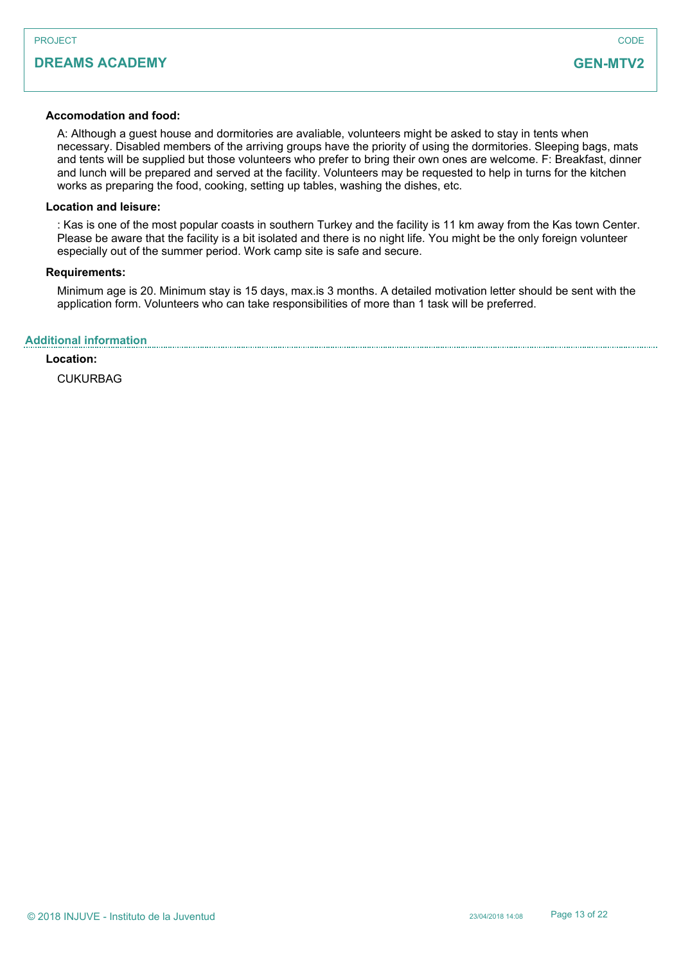#### **Accomodation and food:**

A: Although a guest house and dormitories are avaliable, volunteers might be asked to stay in tents when necessary. Disabled members of the arriving groups have the priority of using the dormitories. Sleeping bags, mats and tents will be supplied but those volunteers who prefer to bring their own ones are welcome. F: Breakfast, dinner and lunch will be prepared and served at the facility. Volunteers may be requested to help in turns for the kitchen works as preparing the food, cooking, setting up tables, washing the dishes, etc.

#### **Location and leisure:**

: Kas is one of the most popular coasts in southern Turkey and the facility is 11 km away from the Kas town Center. Please be aware that the facility is a bit isolated and there is no night life. You might be the only foreign volunteer especially out of the summer period. Work camp site is safe and secure.

#### **Requirements:**

Minimum age is 20. Minimum stay is 15 days, max.is 3 months. A detailed motivation letter should be sent with the application form. Volunteers who can take responsibilities of more than 1 task will be preferred.

## **Additional information**

## **Location:**

CUKURBAG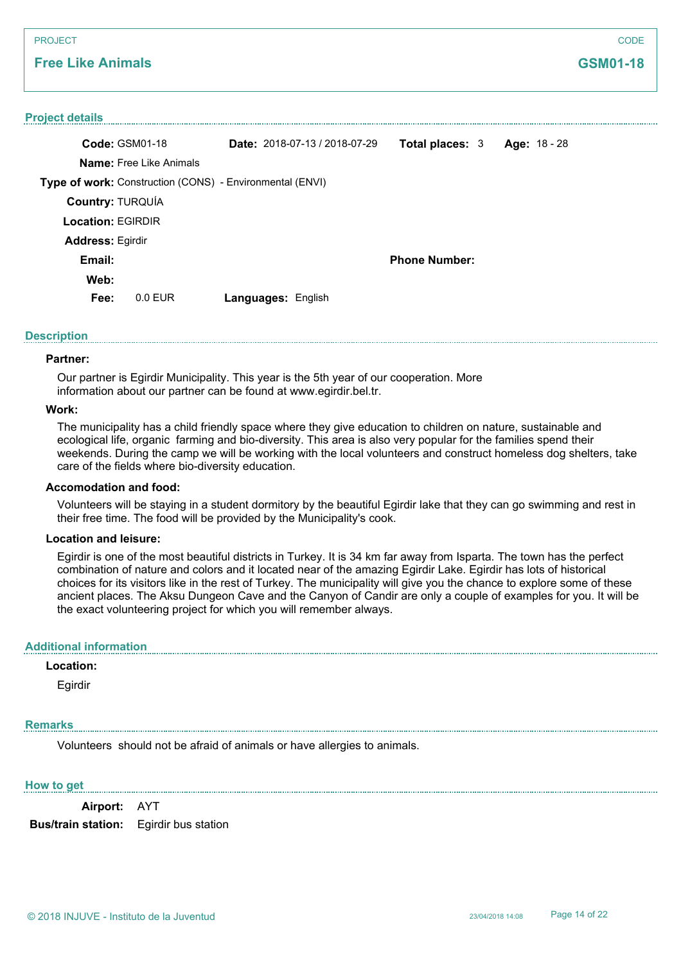# **Free Like Animals**

#### **Project details**

| Code: GSM01-18           |                                | <b>Date:</b> $2018-07-13/2018-07-29$                     | Total places: 3      | Age: 18 - 28 |
|--------------------------|--------------------------------|----------------------------------------------------------|----------------------|--------------|
|                          | <b>Name:</b> Free Like Animals |                                                          |                      |              |
|                          |                                | Type of work: Construction (CONS) - Environmental (ENVI) |                      |              |
| <b>Country: TURQUÍA</b>  |                                |                                                          |                      |              |
| <b>Location: EGIRDIR</b> |                                |                                                          |                      |              |
| <b>Address: Egirdir</b>  |                                |                                                          |                      |              |
| Email:                   |                                |                                                          | <b>Phone Number:</b> |              |
| Web:                     |                                |                                                          |                      |              |
| Fee:                     | $0.0$ EUR                      | Languages: English                                       |                      |              |
|                          |                                |                                                          |                      |              |

#### **Description**

#### **Partner:**

Our partner is Egirdir Municipality. This year is the 5th year of our cooperation. More information about our partner can be found at www.egirdir.bel.tr.

#### **Work:**

The municipality has a child friendly space where they give education to children on nature, sustainable and ecological life, organic farming and bio-diversity. This area is also very popular for the families spend their weekends. During the camp we will be working with the local volunteers and construct homeless dog shelters, take care of the fields where bio-diversity education.

#### **Accomodation and food:**

Volunteers will be staying in a student dormitory by the beautiful Egirdir lake that they can go swimming and rest in their free time. The food will be provided by the Municipality's cook.

#### **Location and leisure:**

Egirdir is one of the most beautiful districts in Turkey. It is 34 km far away from Isparta. The town has the perfect combination of nature and colors and it located near of the amazing Egirdir Lake. Egirdir has lots of historical choices for its visitors like in the rest of Turkey. The municipality will give you the chance to explore some of these ancient places. The Aksu Dungeon Cave and the Canyon of Candir are only a couple of examples for you. It will be the exact volunteering project for which you will remember always.

# **Additional information**

#### **Location:**

Egirdir

#### **Remarks**

Volunteers should not be afraid of animals or have allergies to animals.

#### **How to get**

**Airport:** AYT

**Bus/train station:** Egirdir bus station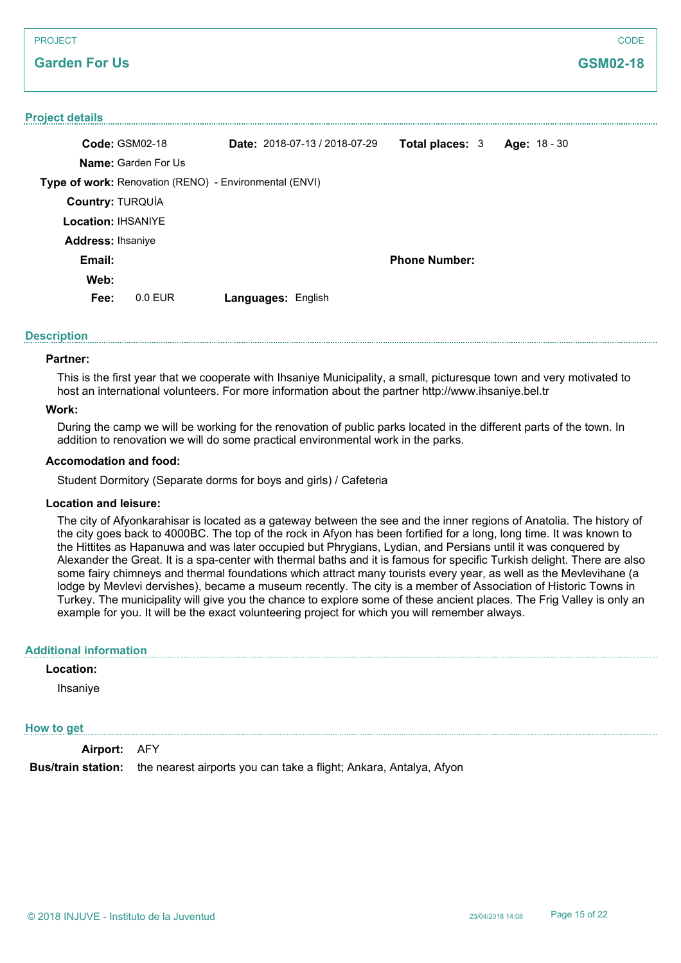# **Garden For Us**

#### **Project details**

|           |                                                                                                                                  |                                                                              |                                      |                                                | Age: 18 - 30 |
|-----------|----------------------------------------------------------------------------------------------------------------------------------|------------------------------------------------------------------------------|--------------------------------------|------------------------------------------------|--------------|
|           |                                                                                                                                  |                                                                              |                                      |                                                |              |
|           |                                                                                                                                  |                                                                              |                                      |                                                |              |
|           |                                                                                                                                  |                                                                              |                                      |                                                |              |
|           |                                                                                                                                  |                                                                              |                                      |                                                |              |
|           |                                                                                                                                  |                                                                              |                                      |                                                |              |
|           |                                                                                                                                  |                                                                              |                                      |                                                |              |
|           |                                                                                                                                  |                                                                              |                                      |                                                |              |
| $0.0$ EUR |                                                                                                                                  |                                                                              |                                      |                                                |              |
|           | Code: GSM02-18<br><b>Name:</b> Garden For Us<br><b>Country: TURQUÍA</b><br><b>Location: IHSANIYE</b><br><b>Address: Ihsaniye</b> | Type of work: Renovation (RENO) - Environmental (ENVI)<br>Languages: English | <b>Date:</b> $2018-07-13/2018-07-29$ | <b>Total places: 3</b><br><b>Phone Number:</b> |              |

#### **Description**

#### **Partner:**

This is the first year that we cooperate with Ihsaniye Municipality, a small, picturesque town and very motivated to host an international volunteers. For more information about the partner http://www.ihsaniye.bel.tr

#### **Work:**

During the camp we will be working for the renovation of public parks located in the different parts of the town. In addition to renovation we will do some practical environmental work in the parks.

#### **Accomodation and food:**

Student Dormitory (Separate dorms for boys and girls) / Cafeteria

#### **Location and leisure:**

The city of Afyonkarahisar is located as a gateway between the see and the inner regions of Anatolia. The history of the city goes back to 4000BC. The top of the rock in Afyon has been fortified for a long, long time. It was known to the Hittites as Hapanuwa and was later occupied but Phrygians, Lydian, and Persians until it was conquered by Alexander the Great. It is a spa-center with thermal baths and it is famous for specific Turkish delight. There are also some fairy chimneys and thermal foundations which attract many tourists every year, as well as the Mevlevihane (a lodge by Mevlevi dervishes), became a museum recently. The city is a member of Association of Historic Towns in Turkey. The municipality will give you the chance to explore some of these ancient places. The Frig Valley is only an example for you. It will be the exact volunteering project for which you will remember always.

#### **Additional information**

### **Location:**

Ihsaniye

#### **How to get**

**Airport:** AFY

**Bus/train station:** the nearest airports you can take a flight; Ankara, Antalya, Afyon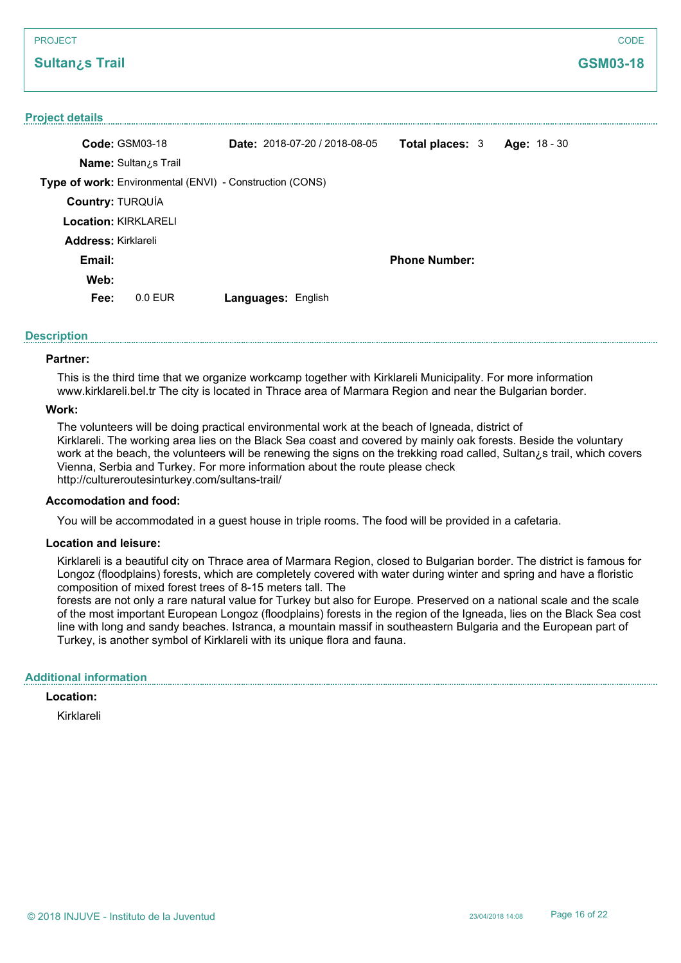# **Sultan¿s Trail**

#### **Project details**

| <b>Code: GSM03-18</b>       |                                                                 |                    | Date: 2018-07-20 / 2018-08-05 | <b>Total places: 3</b> | Age: $18 - 30$ |  |
|-----------------------------|-----------------------------------------------------------------|--------------------|-------------------------------|------------------------|----------------|--|
|                             | <b>Name:</b> Sultan <sub>i</sub> s Trail                        |                    |                               |                        |                |  |
|                             | <b>Type of work:</b> Environmental (ENVI) - Construction (CONS) |                    |                               |                        |                |  |
| <b>Country: TURQUÍA</b>     |                                                                 |                    |                               |                        |                |  |
| <b>Location: KIRKLARELI</b> |                                                                 |                    |                               |                        |                |  |
| <b>Address: Kirklareli</b>  |                                                                 |                    |                               |                        |                |  |
| Email:                      |                                                                 |                    |                               | <b>Phone Number:</b>   |                |  |
| Web:                        |                                                                 |                    |                               |                        |                |  |
| Fee:                        | $0.0$ EUR                                                       | Languages: English |                               |                        |                |  |

#### **Description**

#### **Partner:**

This is the third time that we organize workcamp together with Kirklareli Municipality. For more information www.kirklareli.bel.tr The city is located in Thrace area of Marmara Region and near the Bulgarian border.

#### **Work:**

The volunteers will be doing practical environmental work at the beach of Igneada, district of Kirklareli. The working area lies on the Black Sea coast and covered by mainly oak forests. Beside the voluntary work at the beach, the volunteers will be renewing the signs on the trekking road called, Sultan¿s trail, which covers Vienna, Serbia and Turkey. For more information about the route please check http://cultureroutesinturkey.com/sultans-trail/

#### **Accomodation and food:**

You will be accommodated in a guest house in triple rooms. The food will be provided in a cafetaria.

#### **Location and leisure:**

Kirklareli is a beautiful city on Thrace area of Marmara Region, closed to Bulgarian border. The district is famous for Longoz (floodplains) forests, which are completely covered with water during winter and spring and have a floristic composition of mixed forest trees of 8-15 meters tall. The

forests are not only a rare natural value for Turkey but also for Europe. Preserved on a national scale and the scale of the most important European Longoz (floodplains) forests in the region of the Igneada, lies on the Black Sea cost line with long and sandy beaches. Istranca, a mountain massif in southeastern Bulgaria and the European part of Turkey, is another symbol of Kirklareli with its unique flora and fauna.

# **Additional information**

# **Location:**

Kirklareli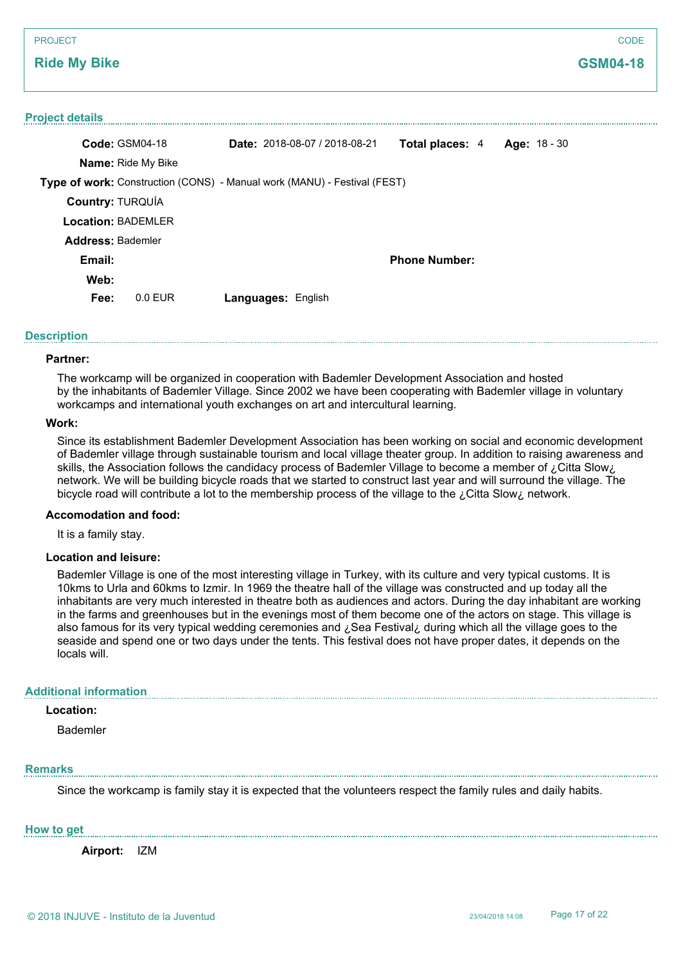## **Ride My Bike**

#### **Project details**

|                           | Code: GSM04-18            | Date: 2018-08-07 / 2018-08-21                                            | <b>Total places: 4</b> | Age: 18 - 30 |
|---------------------------|---------------------------|--------------------------------------------------------------------------|------------------------|--------------|
|                           | <b>Name: Ride My Bike</b> |                                                                          |                        |              |
|                           |                           | Type of work: Construction (CONS) - Manual work (MANU) - Festival (FEST) |                        |              |
| <b>Country: TURQUÍA</b>   |                           |                                                                          |                        |              |
| <b>Location: BADEMLER</b> |                           |                                                                          |                        |              |
| <b>Address: Bademler</b>  |                           |                                                                          |                        |              |
| Email:                    |                           |                                                                          | <b>Phone Number:</b>   |              |
| Web:                      |                           |                                                                          |                        |              |
| Fee:                      | $0.0$ EUR                 | <b>Languages: English</b>                                                |                        |              |

#### **Description**

#### **Partner:**

The workcamp will be organized in cooperation with Bademler Development Association and hosted by the inhabitants of Bademler Village. Since 2002 we have been cooperating with Bademler village in voluntary workcamps and international youth exchanges on art and intercultural learning.

#### **Work:**

Since its establishment Bademler Development Association has been working on social and economic development of Bademler village through sustainable tourism and local village theater group. In addition to raising awareness and skills, the Association follows the candidacy process of Bademler Village to become a member of ¿Citta Slow¿ network. We will be building bicycle roads that we started to construct last year and will surround the village. The bicycle road will contribute a lot to the membership process of the village to the ¿Citta Slow¿ network.

#### **Accomodation and food:**

It is a family stay.

#### **Location and leisure:**

Bademler Village is one of the most interesting village in Turkey, with its culture and very typical customs. It is 10kms to Urla and 60kms to Izmir. In 1969 the theatre hall of the village was constructed and up today all the inhabitants are very much interested in theatre both as audiences and actors. During the day inhabitant are working in the farms and greenhouses but in the evenings most of them become one of the actors on stage. This village is also famous for its very typical wedding ceremonies and ¿Sea Festival¿ during which all the village goes to the seaside and spend one or two days under the tents. This festival does not have proper dates, it depends on the locals will.

#### **Additional information**

# **Location:**

Bademler

#### **Remarks**

Since the workcamp is family stay it is expected that the volunteers respect the family rules and daily habits.

**How to get**

**Airport:** IZM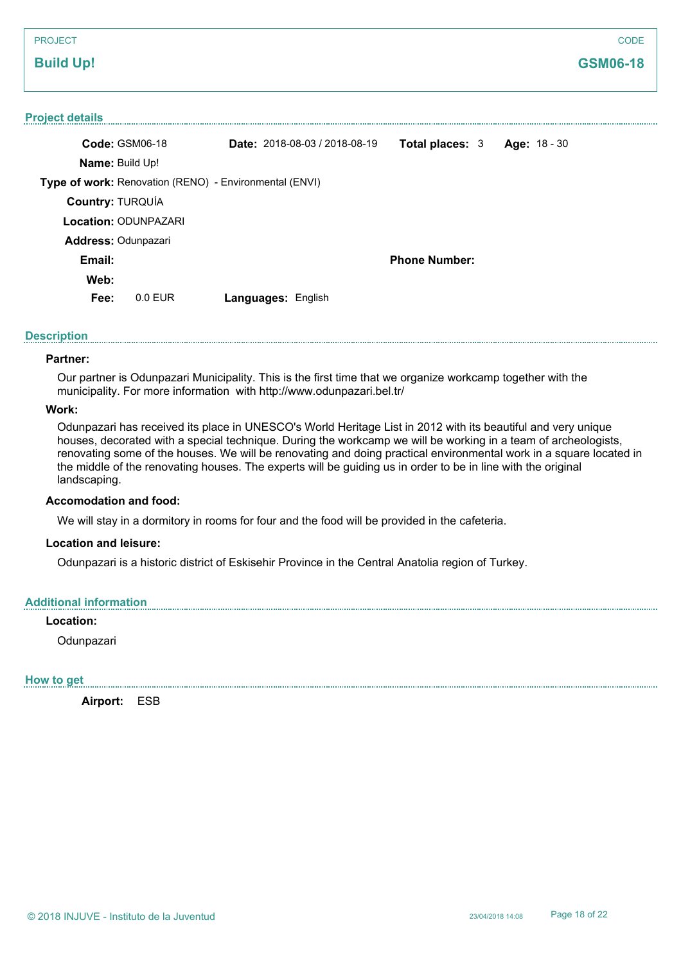| <b>PROJECT</b>                                         |                                      |                        |                     | CODE            |
|--------------------------------------------------------|--------------------------------------|------------------------|---------------------|-----------------|
| <b>Build Up!</b>                                       |                                      |                        |                     | <b>GSM06-18</b> |
|                                                        |                                      |                        |                     |                 |
| <b>Project details</b>                                 |                                      |                        |                     |                 |
| Code: GSM06-18                                         | <b>Date: 2018-08-03 / 2018-08-19</b> | <b>Total places: 3</b> | <b>Age: 18 - 30</b> |                 |
| <b>Name: Build Up!</b>                                 |                                      |                        |                     |                 |
| Type of work: Renovation (RENO) - Environmental (ENVI) |                                      |                        |                     |                 |
| Country: TURQUÍA                                       |                                      |                        |                     |                 |
| <b>Location: ODUNPAZARI</b>                            |                                      |                        |                     |                 |
| Address: Odunpazari                                    |                                      |                        |                     |                 |
| Email:                                                 |                                      | <b>Phone Number:</b>   |                     |                 |

**Web:**

**Fee:** 0.0 EUR **Languages:** English

# **Description**

#### **Partner:**

Our partner is Odunpazari Municipality. This is the first time that we organize workcamp together with the municipality. For more information with http://www.odunpazari.bel.tr/

# **Work:**

Odunpazari has received its place in UNESCO's World Heritage List in 2012 with its beautiful and very unique houses, decorated with a special technique. During the workcamp we will be working in a team of archeologists, renovating some of the houses. We will be renovating and doing practical environmental work in a square located in the middle of the renovating houses. The experts will be guiding us in order to be in line with the original landscaping.

#### **Accomodation and food:**

We will stay in a dormitory in rooms for four and the food will be provided in the cafeteria.

#### **Location and leisure:**

Odunpazari is a historic district of Eskisehir Province in the Central Anatolia region of Turkey.

#### **Additional information**

# **Location:**

Odunpazari

#### **How to get**

**Airport:** ESB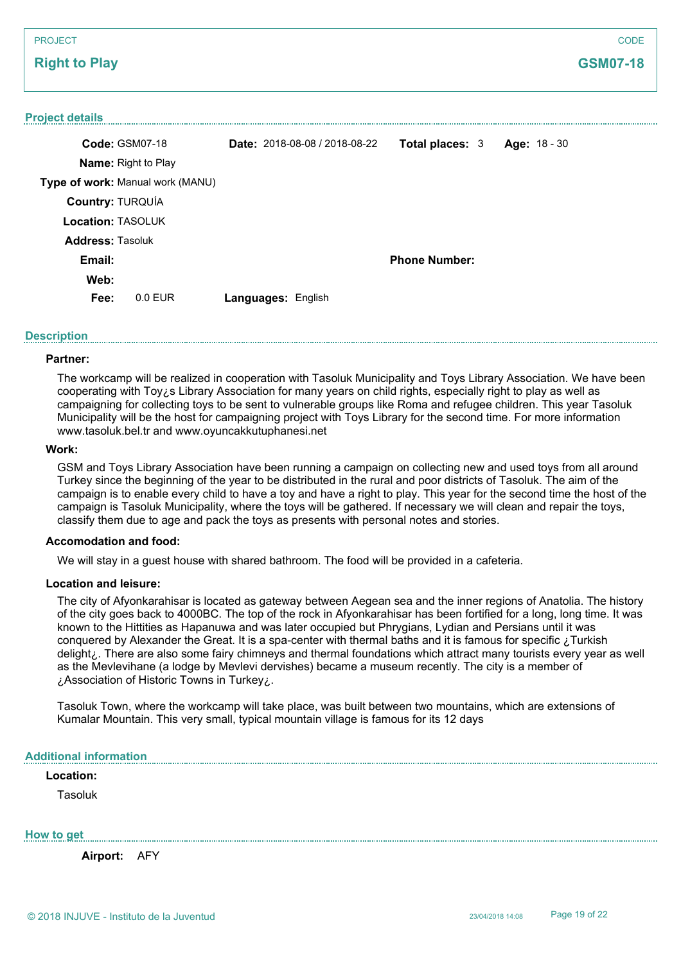# PROJECT **Right to Play CODE GSM07-18 Project details Code:** GSM07-18 **Name:** Right to Play **Type of work:** Manual work (MANU) **Date:** 2018-08-08 / 2018-08-22 **Total places:** 3 **Age:** 18 - 30 **Country:** TURQUÍA **Location:** TASOLUK **Email: Web: Phone Number: Fee:** 0.0 EUR **Languages:** English **Address:** Tasoluk

# **Description**

# **Partner:**

The workcamp will be realized in cooperation with Tasoluk Municipality and Toys Library Association. We have been cooperating with Toy¿s Library Association for many years on child rights, especially right to play as well as campaigning for collecting toys to be sent to vulnerable groups like Roma and refugee children. This year Tasoluk Municipality will be the host for campaigning project with Toys Library for the second time. For more information www.tasoluk.bel.tr and www.oyuncakkutuphanesi.net

#### **Work:**

GSM and Toys Library Association have been running a campaign on collecting new and used toys from all around Turkey since the beginning of the year to be distributed in the rural and poor districts of Tasoluk. The aim of the campaign is to enable every child to have a toy and have a right to play. This year for the second time the host of the campaign is Tasoluk Municipality, where the toys will be gathered. If necessary we will clean and repair the toys, classify them due to age and pack the toys as presents with personal notes and stories.

# **Accomodation and food:**

We will stay in a guest house with shared bathroom. The food will be provided in a cafeteria.

#### **Location and leisure:**

The city of Afyonkarahisar is located as gateway between Aegean sea and the inner regions of Anatolia. The history of the city goes back to 4000BC. The top of the rock in Afyonkarahisar has been fortified for a long, long time. It was known to the Hittities as Hapanuwa and was later occupied but Phrygians, Lydian and Persians until it was conquered by Alexander the Great. It is a spa-center with thermal baths and it is famous for specific ¿Turkish delight¿. There are also some fairy chimneys and thermal foundations which attract many tourists every year as well as the Mevlevihane (a lodge by Mevlevi dervishes) became a museum recently. The city is a member of ¿Association of Historic Towns in Turkey¿.

Tasoluk Town, where the workcamp will take place, was built between two mountains, which are extensions of Kumalar Mountain. This very small, typical mountain village is famous for its 12 days

# **Additional information**

# **Location:**

Tasoluk

**How to get**

**Airport:** AFY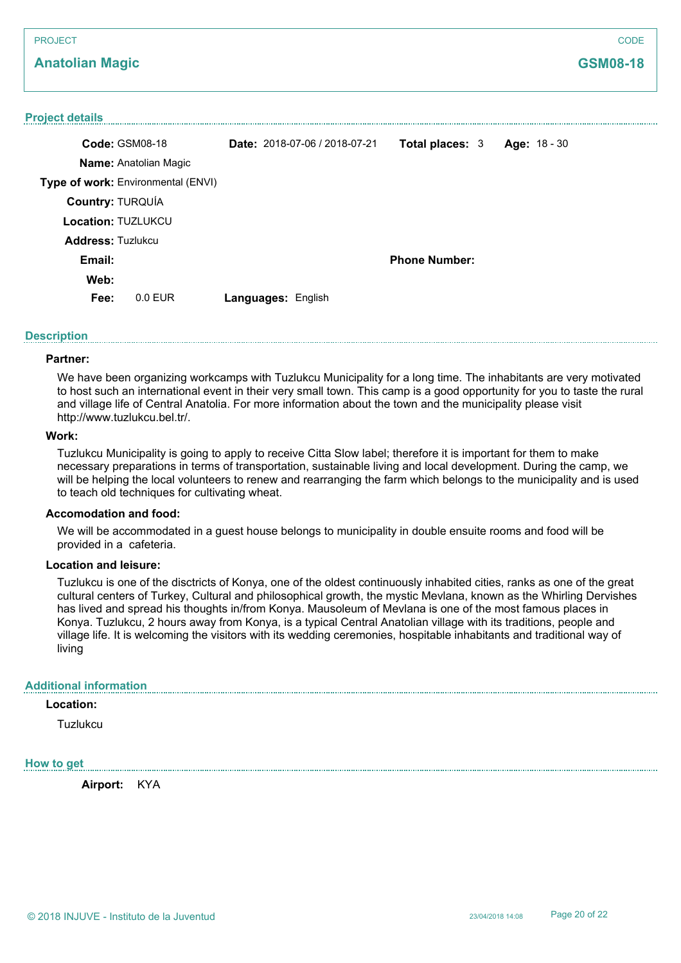# **Anatolian Magic**

# **Project details Code:** GSM08-18 **Name:** Anatolian Magic **Type of work:** Environmental (ENVI) **Date:** 2018-07-06 / 2018-07-21 **Total places:** 3 **Age:** 18 - 30 **Country:** TURQUÍA **Location:** TUZLUKCU **Email: Web: Phone Number: Fee:** 0.0 EUR **Languages:** English **Address:** Tuzlukcu

# **Description**

#### **Partner:**

We have been organizing workcamps with Tuzlukcu Municipality for a long time. The inhabitants are very motivated to host such an international event in their very small town. This camp is a good opportunity for you to taste the rural and village life of Central Anatolia. For more information about the town and the municipality please visit http://www.tuzlukcu.bel.tr/.

#### **Work:**

Tuzlukcu Municipality is going to apply to receive Citta Slow label; therefore it is important for them to make necessary preparations in terms of transportation, sustainable living and local development. During the camp, we will be helping the local volunteers to renew and rearranging the farm which belongs to the municipality and is used to teach old techniques for cultivating wheat.

#### **Accomodation and food:**

We will be accommodated in a guest house belongs to municipality in double ensuite rooms and food will be provided in a cafeteria.

#### **Location and leisure:**

Tuzlukcu is one of the disctricts of Konya, one of the oldest continuously inhabited cities, ranks as one of the great cultural centers of Turkey, Cultural and philosophical growth, the mystic Mevlana, known as the Whirling Dervishes has lived and spread his thoughts in/from Konya. Mausoleum of Mevlana is one of the most famous places in Konya. Tuzlukcu, 2 hours away from Konya, is a typical Central Anatolian village with its traditions, people and village life. It is welcoming the visitors with its wedding ceremonies, hospitable inhabitants and traditional way of living

## **Additional information**

## **Location:**

**Tuzlukcu** 

# **How to get**

**Airport:** KYA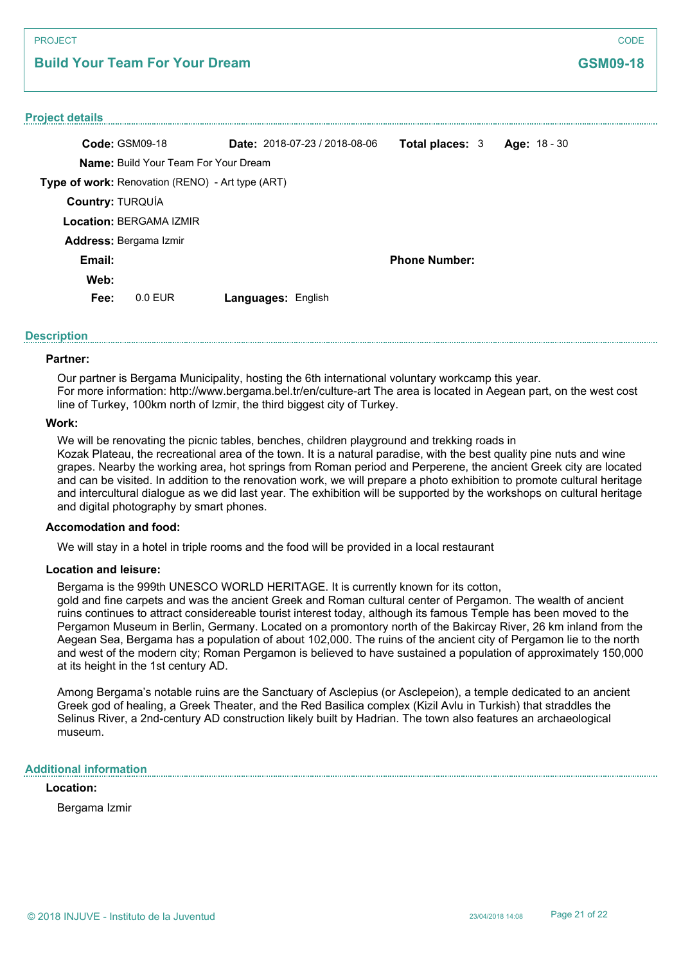# **Build Your Team For Your Dream**

#### **Project details**

| Code: GSM09-18                                          | <b>Date:</b> $2018-07-23/2018-08-06$ | <b>Total places: 3</b> | Age: 18 - 30 |
|---------------------------------------------------------|--------------------------------------|------------------------|--------------|
| <b>Name:</b> Build Your Team For Your Dream             |                                      |                        |              |
| <b>Type of work:</b> Renovation (RENO) - Art type (ART) |                                      |                        |              |
| Country: TURQUÍA                                        |                                      |                        |              |
| <b>Location: BERGAMA IZMIR</b>                          |                                      |                        |              |
| <b>Address: Bergama Izmir</b>                           |                                      |                        |              |
| Email:                                                  |                                      | <b>Phone Number:</b>   |              |
| Web:                                                    |                                      |                        |              |
| Fee:<br>0.0 FUR                                         | <b>Languages: English</b>            |                        |              |

#### **Description**

#### **Partner:**

Our partner is Bergama Municipality, hosting the 6th international voluntary workcamp this year. For more information: http://www.bergama.bel.tr/en/culture-art The area is located in Aegean part, on the west cost line of Turkey, 100km north of Izmir, the third biggest city of Turkey.

#### **Work:**

We will be renovating the picnic tables, benches, children playground and trekking roads in Kozak Plateau, the recreational area of the town. It is a natural paradise, with the best quality pine nuts and wine grapes. Nearby the working area, hot springs from Roman period and Perperene, the ancient Greek city are located and can be visited. In addition to the renovation work, we will prepare a photo exhibition to promote cultural heritage and intercultural dialogue as we did last year. The exhibition will be supported by the workshops on cultural heritage and digital photography by smart phones.

#### **Accomodation and food:**

We will stay in a hotel in triple rooms and the food will be provided in a local restaurant

#### **Location and leisure:**

Bergama is the 999th UNESCO WORLD HERITAGE. It is currently known for its cotton,

gold and fine carpets and was the ancient Greek and Roman cultural center of Pergamon. The wealth of ancient ruins continues to attract considereable tourist interest today, although its famous Temple has been moved to the Pergamon Museum in Berlin, Germany. Located on a promontory north of the Bakircay River, 26 km inland from the Aegean Sea, Bergama has a population of about 102,000. The ruins of the ancient city of Pergamon lie to the north and west of the modern city; Roman Pergamon is believed to have sustained a population of approximately 150,000 at its height in the 1st century AD.

Among Bergama's notable ruins are the Sanctuary of Asclepius (or Asclepeion), a temple dedicated to an ancient Greek god of healing, a Greek Theater, and the Red Basilica complex (Kizil Avlu in Turkish) that straddles the Selinus River, a 2nd-century AD construction likely built by Hadrian. The town also features an archaeological museum.

#### **Additional information**

#### **Location:**

Bergama Izmir